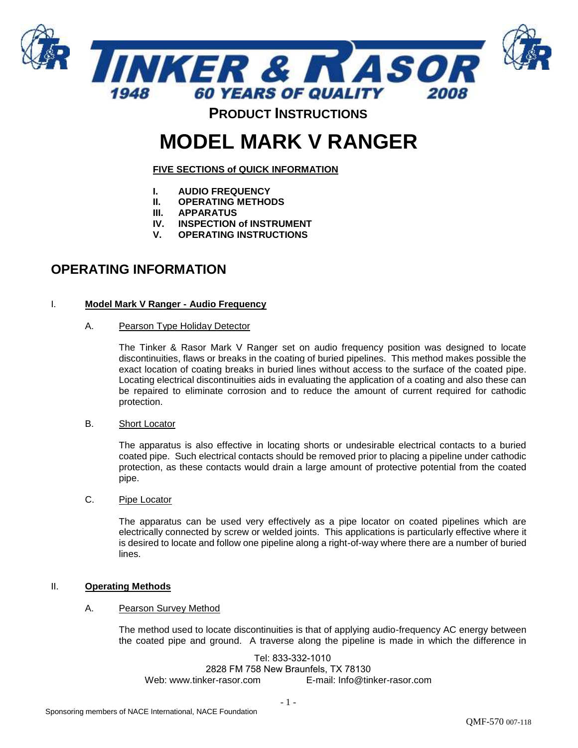

# **MODEL MARK V RANGER**

**FIVE SECTIONS of QUICK INFORMATION**

- **I. AUDIO FREQUENCY**
- **II. OPERATING METHODS**
- **III. APPARATUS**
- **IV. INSPECTION of INSTRUMENT**
- **V. OPERATING INSTRUCTIONS**

# **OPERATING INFORMATION**

# I. **Model Mark V Ranger - Audio Frequency**

A. Pearson Type Holiday Detector

The Tinker & Rasor Mark V Ranger set on audio frequency position was designed to locate discontinuities, flaws or breaks in the coating of buried pipelines. This method makes possible the exact location of coating breaks in buried lines without access to the surface of the coated pipe. Locating electrical discontinuities aids in evaluating the application of a coating and also these can be repaired to eliminate corrosion and to reduce the amount of current required for cathodic protection.

B. Short Locator

The apparatus is also effective in locating shorts or undesirable electrical contacts to a buried coated pipe. Such electrical contacts should be removed prior to placing a pipeline under cathodic protection, as these contacts would drain a large amount of protective potential from the coated pipe.

C. Pipe Locator

The apparatus can be used very effectively as a pipe locator on coated pipelines which are electrically connected by screw or welded joints. This applications is particularly effective where it is desired to locate and follow one pipeline along a right-of-way where there are a number of buried lines.

# II. **Operating Methods**

#### A. Pearson Survey Method

The method used to locate discontinuities is that of applying audio-frequency AC energy between the coated pipe and ground. A traverse along the pipeline is made in which the difference in

Tel: 833-332-1010 2828 FM 758 New Braunfels, TX 78130 Web: www.tinker-rasor.com E-mail: Info@tinker-rasor.com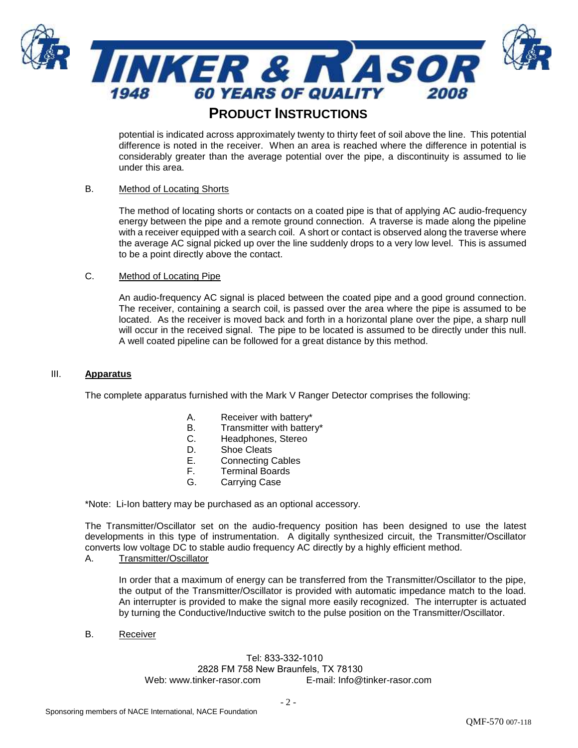

potential is indicated across approximately twenty to thirty feet of soil above the line. This potential difference is noted in the receiver. When an area is reached where the difference in potential is considerably greater than the average potential over the pipe, a discontinuity is assumed to lie under this area.

# B. Method of Locating Shorts

The method of locating shorts or contacts on a coated pipe is that of applying AC audio-frequency energy between the pipe and a remote ground connection. A traverse is made along the pipeline with a receiver equipped with a search coil. A short or contact is observed along the traverse where the average AC signal picked up over the line suddenly drops to a very low level. This is assumed to be a point directly above the contact.

## C. Method of Locating Pipe

An audio-frequency AC signal is placed between the coated pipe and a good ground connection. The receiver, containing a search coil, is passed over the area where the pipe is assumed to be located. As the receiver is moved back and forth in a horizontal plane over the pipe, a sharp null will occur in the received signal. The pipe to be located is assumed to be directly under this null. A well coated pipeline can be followed for a great distance by this method.

## III. **Apparatus**

The complete apparatus furnished with the Mark V Ranger Detector comprises the following:

- A. Receiver with battery\*
- B. Transmitter with battery\*
- C. Headphones, Stereo
- D. Shoe Cleats
- E. Connecting Cables
- F. Terminal Boards
- G. Carrying Case

\*Note: Li-Ion battery may be purchased as an optional accessory.

The Transmitter/Oscillator set on the audio-frequency position has been designed to use the latest developments in this type of instrumentation. A digitally synthesized circuit, the Transmitter/Oscillator converts low voltage DC to stable audio frequency AC directly by a highly efficient method.

## A. Transmitter/Oscillator

In order that a maximum of energy can be transferred from the Transmitter/Oscillator to the pipe, the output of the Transmitter/Oscillator is provided with automatic impedance match to the load. An interrupter is provided to make the signal more easily recognized. The interrupter is actuated by turning the Conductive/Inductive switch to the pulse position on the Transmitter/Oscillator.

B. Receiver

# Tel: 833-332-1010 2828 FM 758 New Braunfels, TX 78130

Web: www.tinker-rasor.com E-mail: Info@tinker-rasor.com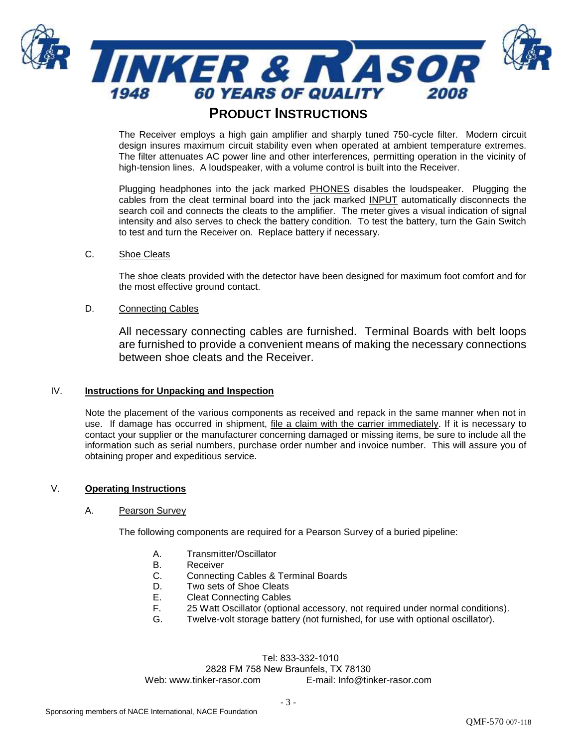

The Receiver employs a high gain amplifier and sharply tuned 750-cycle filter. Modern circuit design insures maximum circuit stability even when operated at ambient temperature extremes. The filter attenuates AC power line and other interferences, permitting operation in the vicinity of high-tension lines. A loudspeaker, with a volume control is built into the Receiver.

Plugging headphones into the jack marked **PHONES** disables the loudspeaker. Plugging the cables from the cleat terminal board into the jack marked INPUT automatically disconnects the search coil and connects the cleats to the amplifier. The meter gives a visual indication of signal intensity and also serves to check the battery condition. To test the battery, turn the Gain Switch to test and turn the Receiver on. Replace battery if necessary.

# C. Shoe Cleats

The shoe cleats provided with the detector have been designed for maximum foot comfort and for the most effective ground contact.

## D. Connecting Cables

All necessary connecting cables are furnished. Terminal Boards with belt loops are furnished to provide a convenient means of making the necessary connections between shoe cleats and the Receiver.

#### IV. **Instructions for Unpacking and Inspection**

Note the placement of the various components as received and repack in the same manner when not in use. If damage has occurred in shipment, file a claim with the carrier immediately. If it is necessary to contact your supplier or the manufacturer concerning damaged or missing items, be sure to include all the information such as serial numbers, purchase order number and invoice number. This will assure you of obtaining proper and expeditious service.

# V. **Operating Instructions**

#### A. Pearson Survey

The following components are required for a Pearson Survey of a buried pipeline:

- A. Transmitter/Oscillator
- B. Receiver
- C. Connecting Cables & Terminal Boards
- D. Two sets of Shoe Cleats
- E. Cleat Connecting Cables
- F. 25 Watt Oscillator (optional accessory, not required under normal conditions).
- G. Twelve-volt storage battery (not furnished, for use with optional oscillator).

#### Tel: 833-332-1010 2828 FM 758 New Braunfels, TX 78130 Web: www.tinker-rasor.com E-mail: Info@tinker-rasor.com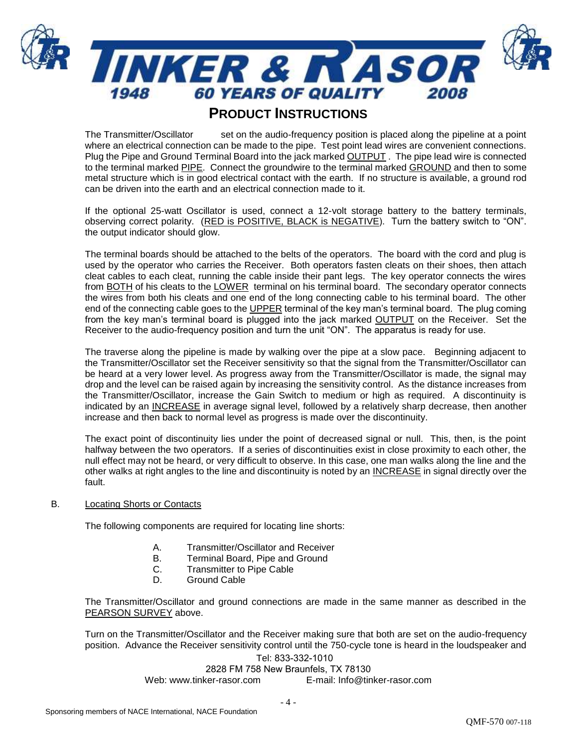

The Transmitter/Oscillator set on the audio-frequency position is placed along the pipeline at a point where an electrical connection can be made to the pipe. Test point lead wires are convenient connections. Plug the Pipe and Ground Terminal Board into the jack marked OUTPUT . The pipe lead wire is connected to the terminal marked PIPE. Connect the groundwire to the terminal marked GROUND and then to some metal structure which is in good electrical contact with the earth. If no structure is available, a ground rod can be driven into the earth and an electrical connection made to it.

If the optional 25-watt Oscillator is used, connect a 12-volt storage battery to the battery terminals, observing correct polarity. (RED is POSITIVE, BLACK is NEGATIVE). Turn the battery switch to "ON". the output indicator should glow.

The terminal boards should be attached to the belts of the operators. The board with the cord and plug is used by the operator who carries the Receiver. Both operators fasten cleats on their shoes, then attach cleat cables to each cleat, running the cable inside their pant legs. The key operator connects the wires from BOTH of his cleats to the LOWER terminal on his terminal board. The secondary operator connects the wires from both his cleats and one end of the long connecting cable to his terminal board. The other end of the connecting cable goes to the UPPER terminal of the key man's terminal board. The plug coming from the key man's terminal board is plugged into the jack marked OUTPUT on the Receiver. Set the Receiver to the audio-frequency position and turn the unit "ON". The apparatus is ready for use.

The traverse along the pipeline is made by walking over the pipe at a slow pace. Beginning adjacent to the Transmitter/Oscillator set the Receiver sensitivity so that the signal from the Transmitter/Oscillator can be heard at a very lower level. As progress away from the Transmitter/Oscillator is made, the signal may drop and the level can be raised again by increasing the sensitivity control. As the distance increases from the Transmitter/Oscillator, increase the Gain Switch to medium or high as required. A discontinuity is indicated by an INCREASE in average signal level, followed by a relatively sharp decrease, then another increase and then back to normal level as progress is made over the discontinuity.

The exact point of discontinuity lies under the point of decreased signal or null. This, then, is the point halfway between the two operators. If a series of discontinuities exist in close proximity to each other, the null effect may not be heard, or very difficult to observe. In this case, one man walks along the line and the other walks at right angles to the line and discontinuity is noted by an INCREASE in signal directly over the fault.

#### B. Locating Shorts or Contacts

The following components are required for locating line shorts:

- A. Transmitter/Oscillator and Receiver
- B. Terminal Board, Pipe and Ground
- C. Transmitter to Pipe Cable
- D. Ground Cable

The Transmitter/Oscillator and ground connections are made in the same manner as described in the PEARSON SURVEY above.

Tel: 833-332-1010 Turn on the Transmitter/Oscillator and the Receiver making sure that both are set on the audio-frequency position. Advance the Receiver sensitivity control until the 750-cycle tone is heard in the loudspeaker and

# 2828 FM 758 New Braunfels, TX 78130

Web: www.tinker-rasor.com E-mail: Info@tinker-rasor.com